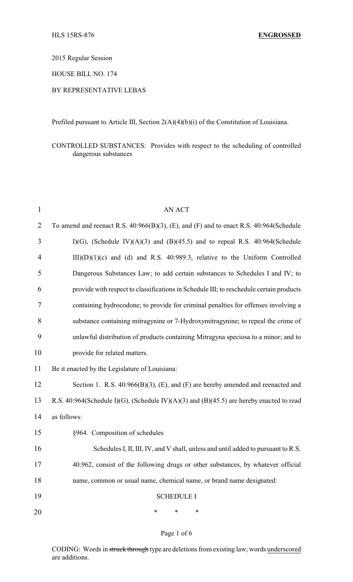2015 Regular Session

HOUSE BILL NO. 174

### BY REPRESENTATIVE LEBAS

Prefiled pursuant to Article III, Section 2(A)(4)(b)(i) of the Constitution of Louisiana.

CONTROLLED SUBSTANCES: Provides with respect to the scheduling of controlled dangerous substances

| $\mathbf{1}$   | <b>AN ACT</b>                                                                                |
|----------------|----------------------------------------------------------------------------------------------|
| $\overline{2}$ | To amend and reenact R.S. $40:966(B)(3)$ , (E), and (F) and to enact R.S. $40:964(Schedule)$ |
| 3              | $I(G)$ , (Schedule IV)(A)(3) and (B)(45.5) and to repeal R.S. 40:964(Schedule                |
| $\overline{4}$ | $III)(D)(1)(c)$ and (d) and R.S. 40:989.3, relative to the Uniform Controlled                |
| 5              | Dangerous Substances Law; to add certain substances to Schedules I and IV; to                |
| 6              | provide with respect to classifications in Schedule III; to reschedule certain products      |
| 7              | containing hydrocodone; to provide for criminal penalties for offenses involving a           |
| 8              | substance containing mitragynine or 7-Hydroxymitragynine; to repeal the crime of             |
| 9              | unlawful distribution of products containing Mitragyna speciosa to a minor; and to           |
| 10             | provide for related matters.                                                                 |
| 11             | Be it enacted by the Legislature of Louisiana:                                               |
| 12             | Section 1. R.S. $40:966(B)(3)$ , (E), and (F) are hereby amended and reenacted and           |
| 13             | R.S. 40:964(Schedule I)(G), (Schedule IV)(A)(3) and (B)(45.5) are hereby enacted to read     |
| 14             | as follows:                                                                                  |
| 15             | §964. Composition of schedules                                                               |
| 16             | Schedules I, II, III, IV, and V shall, unless and until added to pursuant to R.S.            |
| 17             | 40:962, consist of the following drugs or other substances, by whatever official             |
| 18             | name, common or usual name, chemical name, or brand name designated:                         |
| 19             | <b>SCHEDULE I</b>                                                                            |
| 20             | ∗<br>∗<br>∗                                                                                  |

#### Page 1 of 6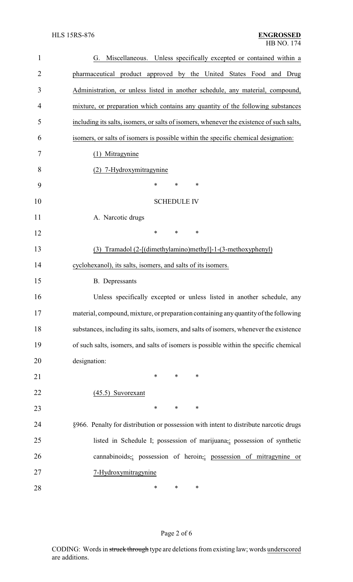| $\mathbf{1}$ | Miscellaneous. Unless specifically excepted or contained within a<br>G.                  |  |  |  |
|--------------|------------------------------------------------------------------------------------------|--|--|--|
| 2            | pharmaceutical product approved by the United States Food and Drug                       |  |  |  |
| 3            | Administration, or unless listed in another schedule, any material, compound,            |  |  |  |
| 4            | mixture, or preparation which contains any quantity of the following substances          |  |  |  |
| 5            | including its salts, isomers, or salts of isomers, whenever the existence of such salts, |  |  |  |
| 6            | isomers, or salts of isomers is possible within the specific chemical designation:       |  |  |  |
| 7            | (1) Mitragynine                                                                          |  |  |  |
| 8            | (2) 7-Hydroxymitragynine                                                                 |  |  |  |
| 9            | $\ast$<br>*<br>∗                                                                         |  |  |  |
| 10           | <b>SCHEDULE IV</b>                                                                       |  |  |  |
| 11           | A. Narcotic drugs                                                                        |  |  |  |
| 12           | $\ast$<br>*<br>$\ast$                                                                    |  |  |  |
| 13           | (3) Tramadol (2-[(dimethylamino)methyl]-1-(3-methoxyphenyl)                              |  |  |  |
| 14           | cyclohexanol), its salts, isomers, and salts of its isomers.                             |  |  |  |
| 15           | <b>B.</b> Depressants                                                                    |  |  |  |
| 16           | Unless specifically excepted or unless listed in another schedule, any                   |  |  |  |
| 17           | material, compound, mixture, or preparation containing any quantity of the following     |  |  |  |
| 18           | substances, including its salts, isomers, and salts of isomers, whenever the existence   |  |  |  |
| 19           | of such salts, isomers, and salts of isomers is possible within the specific chemical    |  |  |  |
| 20           | designation:                                                                             |  |  |  |
| 21           | ∗<br>*<br>∗                                                                              |  |  |  |
| 22           | $(45.5)$ Suvorexant                                                                      |  |  |  |
| 23           | ∗<br>∗<br>∗                                                                              |  |  |  |
| 24           | §966. Penalty for distribution or possession with intent to distribute narcotic drugs    |  |  |  |
| 25           | listed in Schedule I; possession of marijuana,; possession of synthetic                  |  |  |  |
| 26           | cannabinoids,; possession of heroin,; possession of mitragynine or                       |  |  |  |
| 27           | 7-Hydroxymitragynine                                                                     |  |  |  |
| 28           | ∗<br>∗<br>∗                                                                              |  |  |  |

# Page 2 of 6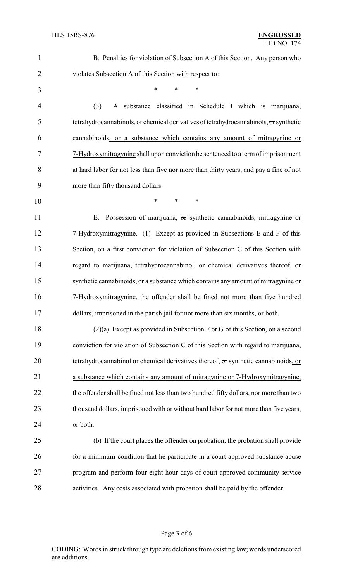| $\mathbf{1}$   | B. Penalties for violation of Subsection A of this Section. Any person who             |
|----------------|----------------------------------------------------------------------------------------|
| $\overline{2}$ | violates Subsection A of this Section with respect to:                                 |
| 3              | $\ast$<br>*                                                                            |
| 4              | A substance classified in Schedule I which is marijuana,<br>(3)                        |
| 5              | tetrahydrocannabinols, or chemical derivatives of tetrahydrocannabinols, or synthetic  |
| 6              | cannabinoids, or a substance which contains any amount of mitragynine or               |
| 7              | 7-Hydroxymitragynine shall upon conviction be sentenced to a term of imprisonment      |
| 8              | at hard labor for not less than five nor more than thirty years, and pay a fine of not |
| 9              | more than fifty thousand dollars.                                                      |
| 10             | $\ast$<br>$\ast$<br>$\ast$                                                             |
| 11             | Possession of marijuana, or synthetic cannabinoids, mitragynine or<br>Е.               |
| 12             | 7-Hydroxymitragynine. (1) Except as provided in Subsections E and F of this            |
| 13             | Section, on a first conviction for violation of Subsection C of this Section with      |
| 14             | regard to marijuana, tetrahydrocannabinol, or chemical derivatives thereof, or         |
| 15             | synthetic cannabinoids, or a substance which contains any amount of mitragynine or     |
| 16             | 7-Hydroxymitragynine, the offender shall be fined not more than five hundred           |
| 17             | dollars, imprisoned in the parish jail for not more than six months, or both.          |
| 18             | $(2)(a)$ Except as provided in Subsection F or G of this Section, on a second          |
| 19             | conviction for violation of Subsection C of this Section with regard to marijuana,     |
| 20             | tetrahydrocannabinol or chemical derivatives thereof, or synthetic cannabinoids, or    |
| 21             | a substance which contains any amount of mitragynine or 7-Hydroxymitragynine,          |
| 22             | the offender shall be fined not less than two hundred fifty dollars, nor more than two |
| 23             | thousand dollars, imprisoned with or without hard labor for not more than five years,  |
| 24             | or both.                                                                               |
| 25             | (b) If the court places the offender on probation, the probation shall provide         |
| 26             | for a minimum condition that he participate in a court-approved substance abuse        |
| 27             | program and perform four eight-hour days of court-approved community service           |
| 28             | activities. Any costs associated with probation shall be paid by the offender.         |
|                |                                                                                        |

# Page 3 of 6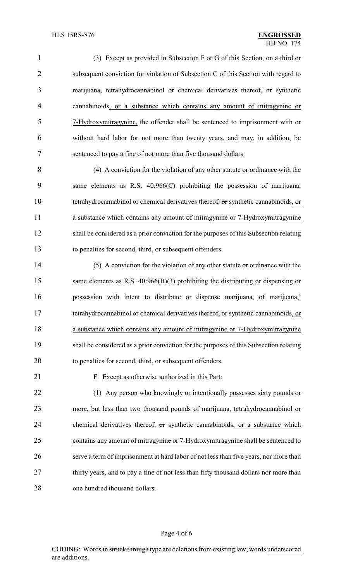(3) Except as provided in Subsection F or G of this Section, on a third or subsequent conviction for violation of Subsection C of this Section with regard to marijuana, tetrahydrocannabinol or chemical derivatives thereof, or synthetic cannabinoids, or a substance which contains any amount of mitragynine or 7-Hydroxymitragynine, the offender shall be sentenced to imprisonment with or without hard labor for not more than twenty years, and may, in addition, be sentenced to pay a fine of not more than five thousand dollars.

 (4) A conviction for the violation of any other statute or ordinance with the same elements as R.S. 40:966(C) prohibiting the possession of marijuana, 10 tetrahydrocannabinol or chemical derivatives thereof, or synthetic cannabinoids, or a substance which contains any amount of mitragynine or 7-Hydroxymitragynine shall be considered as a prior conviction for the purposes of this Subsection relating to penalties for second, third, or subsequent offenders.

 (5) A conviction for the violation of any other statute or ordinance with the 15 same elements as R.S. 40:966(B)(3) prohibiting the distributing or dispensing or 16 possession with intent to distribute or dispense marijuana, of marijuana,<sup>1</sup> 17 tetrahydrocannabinol or chemical derivatives thereof, or synthetic cannabinoids, or 18 a substance which contains any amount of mitragynine or 7-Hydroxymitragynine shall be considered as a prior conviction for the purposes of this Subsection relating to penalties for second, third, or subsequent offenders.

F. Except as otherwise authorized in this Part:

22 (1) Any person who knowingly or intentionally possesses sixty pounds or more, but less than two thousand pounds of marijuana, tetrahydrocannabinol or 24 chemical derivatives thereof, or synthetic cannabinoids, or a substance which contains any amount of mitragynine or 7-Hydroxymitragynine shall be sentenced to serve a term of imprisonment at hard labor of not less than five years, nor more than 27 thirty years, and to pay a fine of not less than fifty thousand dollars nor more than one hundred thousand dollars.

#### Page 4 of 6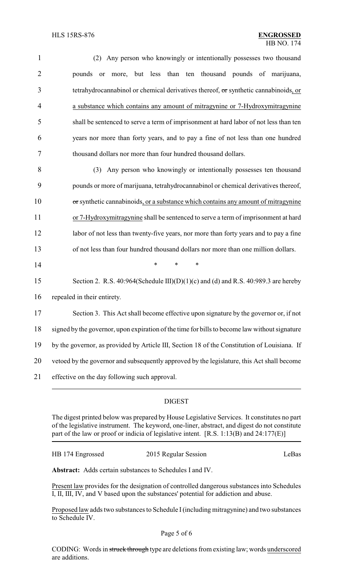| $\mathbf{1}$   | Any person who knowingly or intentionally possesses two thousand<br>(2)                       |  |  |
|----------------|-----------------------------------------------------------------------------------------------|--|--|
| $\overline{2}$ | more, but less than ten thousand pounds of marijuana,<br>pounds<br><b>or</b>                  |  |  |
| 3              | tetrahydrocannabinol or chemical derivatives thereof, or synthetic cannabinoids, or           |  |  |
| 4              | a substance which contains any amount of mitragynine or 7-Hydroxymitragynine                  |  |  |
| 5              | shall be sentenced to serve a term of imprisonment at hard labor of not less than ten         |  |  |
| 6              | years nor more than forty years, and to pay a fine of not less than one hundred               |  |  |
| 7              | thousand dollars nor more than four hundred thousand dollars.                                 |  |  |
| 8              | (3) Any person who knowingly or intentionally possesses ten thousand                          |  |  |
| 9              | pounds or more of marijuana, tetrahydrocannabinol or chemical derivatives thereof,            |  |  |
| 10             | or synthetic cannabinoids, or a substance which contains any amount of mitragynine            |  |  |
| 11             | or 7-Hydroxymitragynine shall be sentenced to serve a term of imprisonment at hard            |  |  |
| 12             | labor of not less than twenty-five years, nor more than forty years and to pay a fine         |  |  |
| 13             | of not less than four hundred thousand dollars nor more than one million dollars.             |  |  |
| 14             | $\ast$<br>*<br>*                                                                              |  |  |
| 15             | Section 2. R.S. 40:964(Schedule III)(D)(1)(c) and (d) and R.S. 40:989.3 are hereby            |  |  |
| 16             | repealed in their entirety.                                                                   |  |  |
| 17             | Section 3. This Act shall become effective upon signature by the governor or, if not          |  |  |
| 18             | signed by the governor, upon expiration of the time for bills to become law without signature |  |  |
| 19             | by the governor, as provided by Article III, Section 18 of the Constitution of Louisiana. If  |  |  |
| 20             | vetoed by the governor and subsequently approved by the legislature, this Act shall become    |  |  |
| 21             | effective on the day following such approval.                                                 |  |  |

### DIGEST

The digest printed below was prepared by House Legislative Services. It constitutes no part of the legislative instrument. The keyword, one-liner, abstract, and digest do not constitute part of the law or proof or indicia of legislative intent. [R.S. 1:13(B) and 24:177(E)]

| HB 174 Engrossed | 2015 Regular Session | LeBas |
|------------------|----------------------|-------|
|                  |                      |       |

**Abstract:** Adds certain substances to Schedules I and IV.

Present law provides for the designation of controlled dangerous substances into Schedules I, II, III, IV, and V based upon the substances' potential for addiction and abuse.

Proposed law adds two substances to Schedule I(including mitragynine) and two substances to Schedule IV.

Page 5 of 6